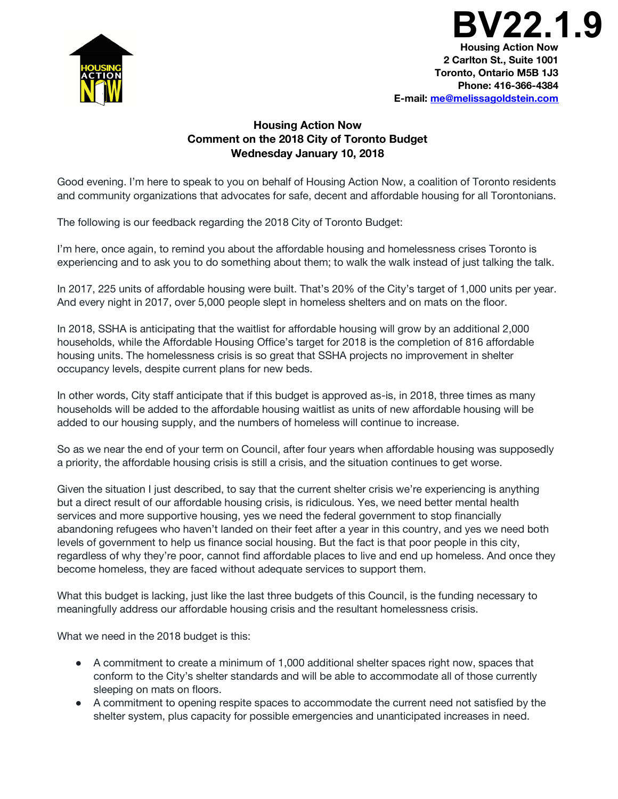

**Housing Action Now 2 Carlton St., Suite 1001 Toronto, Ontario M5B 1J3 Phone: 416-366-4384 BV22.1.9**

**E-mail: me@melissagoldstein.com**

## **Housing Action Now Comment on the 2018 City of Toronto Budget Wednesday January 10, 2018**

Good evening. I'm here to speak to you on behalf of Housing Action Now, a coalition of Toronto residents and community organizations that advocates for safe, decent and affordable housing for all Torontonians.

The following is our feedback regarding the 2018 City of Toronto Budget:

I'm here, once again, to remind you about the affordable housing and homelessness crises Toronto is experiencing and to ask you to do something about them; to walk the walk instead of just talking the talk.

In 2017, 225 units of affordable housing were built. That's 20% of the City's target of 1,000 units per year. And every night in 2017, over 5,000 people slept in homeless shelters and on mats on the floor.

In 2018, SSHA is anticipating that the waitlist for affordable housing will grow by an additional 2,000 households, while the Affordable Housing Office's target for 2018 is the completion of 816 affordable housing units. The homelessness crisis is so great that SSHA projects no improvement in shelter occupancy levels, despite current plans for new beds.

In other words, City staff anticipate that if this budget is approved as-is, in 2018, three times as many households will be added to the affordable housing waitlist as units of new affordable housing will be added to our housing supply, and the numbers of homeless will continue to increase.

So as we near the end of your term on Council, after four years when affordable housing was supposedly a priority, the affordable housing crisis is still a crisis, and the situation continues to get worse.

Given the situation I just described, to say that the current shelter crisis we're experiencing is anything but a direct result of our affordable housing crisis, is ridiculous. Yes, we need better mental health services and more supportive housing, yes we need the federal government to stop financially abandoning refugees who haven't landed on their feet after a year in this country, and yes we need both levels of government to help us finance social housing. But the fact is that poor people in this city, regardless of why they're poor, cannot find affordable places to live and end up homeless. And once they become homeless, they are faced without adequate services to support them.

What this budget is lacking, just like the last three budgets of this Council, is the funding necessary to meaningfully address our affordable housing crisis and the resultant homelessness crisis.

What we need in the 2018 budget is this:

- A commitment to create a minimum of 1,000 additional shelter spaces right now, spaces that conform to the City's shelter standards and will be able to accommodate all of those currently sleeping on mats on floors.
- A commitment to opening respite spaces to accommodate the current need not satisfied by the shelter system, plus capacity for possible emergencies and unanticipated increases in need.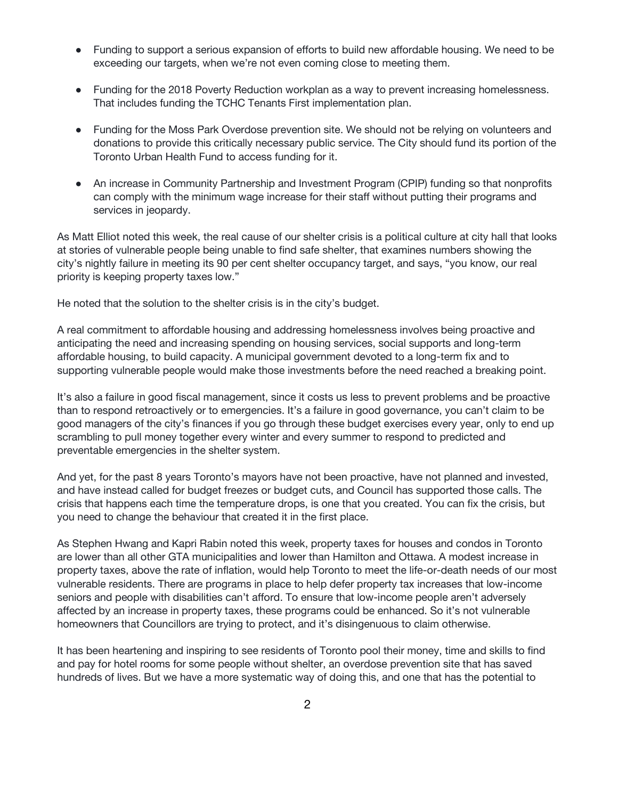- Funding to support a serious expansion of efforts to build new affordable housing. We need to be exceeding our targets, when we're not even coming close to meeting them.
- Funding for the 2018 Poverty Reduction workplan as a way to prevent increasing homelessness. That includes funding the TCHC Tenants First implementation plan.
- Funding for the Moss Park Overdose prevention site. We should not be relying on volunteers and donations to provide this critically necessary public service. The City should fund its portion of the Toronto Urban Health Fund to access funding for it.
- An increase in Community Partnership and Investment Program (CPIP) funding so that nonprofits can comply with the minimum wage increase for their staff without putting their programs and services in jeopardy.

As Matt Elliot noted this week, the real cause of our shelter crisis is a political culture at city hall that looks at stories of vulnerable people being unable to find safe shelter, that examines numbers showing the city's nightly failure in meeting its 90 per cent shelter occupancy target, and says, "you know, our real priority is keeping property taxes low."

He noted that the solution to the shelter crisis is in the city's budget.

A real commitment to affordable housing and addressing homelessness involves being proactive and anticipating the need and increasing spending on housing services, social supports and long-term affordable housing, to build capacity. A municipal government devoted to a long-term fix and to supporting vulnerable people would make those investments before the need reached a breaking point.

It's also a failure in good fiscal management, since it costs us less to prevent problems and be proactive than to respond retroactively or to emergencies. It's a failure in good governance, you can't claim to be good managers of the city's finances if you go through these budget exercises every year, only to end up scrambling to pull money together every winter and every summer to respond to predicted and preventable emergencies in the shelter system.

And yet, for the past 8 years Toronto's mayors have not been proactive, have not planned and invested, and have instead called for budget freezes or budget cuts, and Council has supported those calls. The crisis that happens each time the temperature drops, is one that you created. You can fix the crisis, but you need to change the behaviour that created it in the first place.

As Stephen Hwang and Kapri Rabin noted this week, property taxes for houses and condos in Toronto are lower than all other GTA municipalities and lower than Hamilton and Ottawa. A modest increase in property taxes, above the rate of inflation, would help Toronto to meet the life-or-death needs of our most vulnerable residents. There are programs in place to help defer property tax increases that low-income seniors and people with disabilities can't afford. To ensure that low-income people aren't adversely affected by an increase in property taxes, these programs could be enhanced. So it's not vulnerable homeowners that Councillors are trying to protect, and it's disingenuous to claim otherwise.

It has been heartening and inspiring to see residents of Toronto pool their money, time and skills to find and pay for hotel rooms for some people without shelter, an overdose prevention site that has saved hundreds of lives. But we have a more systematic way of doing this, and one that has the potential to